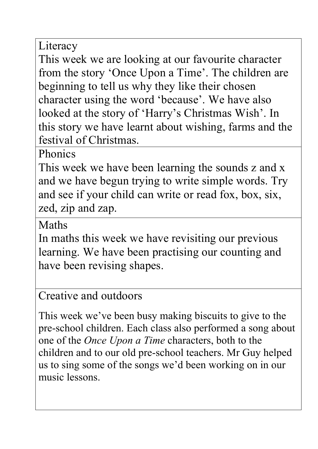Literacy

This week we are looking at our favourite character from the story 'Once Upon a Time'. The children are beginning to tell us why they like their chosen character using the word 'because'. We have also looked at the story of 'Harry's Christmas Wish'. In this story we have learnt about wishing, farms and the festival of Christmas.

Phonics

This week we have been learning the sounds z and x and we have begun trying to write simple words. Try and see if your child can write or read fox, box, six, zed, zip and zap.

Maths

In maths this week we have revisiting our previous learning. We have been practising our counting and have been revising shapes.

Creative and outdoors

This week we've been busy making biscuits to give to the pre-school children. Each class also performed a song about one of the *Once Upon a Time* characters, both to the children and to our old pre-school teachers. Mr Guy helped us to sing some of the songs we'd been working on in our music lessons.